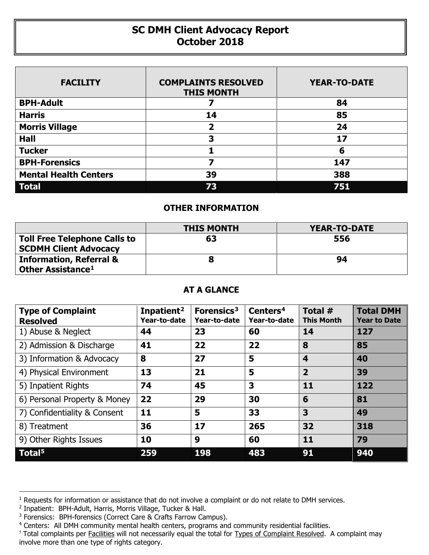## **SC DMH Client Advocacy Report October 2018**

| <b>FACILITY</b>              | <b>COMPLAINTS RESOLVED</b><br><b>THIS MONTH</b> | <b>YEAR-TO-DATE</b> |
|------------------------------|-------------------------------------------------|---------------------|
| <b>BPH-Adult</b>             |                                                 | 84                  |
| <b>Harris</b>                | 14                                              | 85                  |
| <b>Morris Village</b>        | $\overline{\mathbf{2}}$                         | 24                  |
| <b>Hall</b>                  | 3                                               | 17                  |
| <b>Tucker</b>                |                                                 | 6                   |
| <b>BPH-Forensics</b>         |                                                 | 147                 |
| <b>Mental Health Centers</b> | 39                                              | 388                 |
| <b>Total</b>                 | 73                                              | 751                 |

## **OTHER INFORMATION**

|                                                                     | <b>THIS MONTH</b> | YEAR-TO-DATE |  |  |
|---------------------------------------------------------------------|-------------------|--------------|--|--|
| <b>Toll Free Telephone Calls to</b><br><b>SCDMH Client Advocacy</b> | 63                | 556          |  |  |
| <b>Information, Referral &amp;</b><br>Other Assistance <sup>1</sup> |                   | 94           |  |  |

## **AT A GLANCE**

| <b>Type of Complaint</b><br><b>Resolved</b> | Inpatient <sup>2</sup><br>Year-to-date | Forensics <sup>3</sup><br>Year-to-date | Centers <sup>4</sup><br>Year-to-date | Total $#$<br><b>This Month</b> | <b>Total DMH</b><br><b>Year to Date</b> |
|---------------------------------------------|----------------------------------------|----------------------------------------|--------------------------------------|--------------------------------|-----------------------------------------|
| 1) Abuse & Neglect                          | 44                                     | 23                                     | 60                                   | 14                             | 127                                     |
| 2) Admission & Discharge                    | 41                                     | 22                                     | 22                                   | 8                              | 85                                      |
| 3) Information & Advocacy                   | 8                                      | 27                                     | 5                                    | 4                              | 40                                      |
| 4) Physical Environment                     | 13                                     | 21                                     | 5                                    | $\overline{2}$                 | 39                                      |
| 5) Inpatient Rights                         | 74                                     | 45                                     | 3                                    | 11                             | 122                                     |
| 6) Personal Property & Money                | 22                                     | 29                                     | 30                                   | 6                              | 81                                      |
| 7) Confidentiality & Consent                | 11                                     | 5                                      | 33                                   | 3                              | 49                                      |
| 8) Treatment                                | 36                                     | 17                                     | 265                                  | 32                             | 318                                     |
| 9) Other Rights Issues                      | 10                                     | 9                                      | 60                                   | 11                             | 79                                      |
| Total <sup>5</sup>                          | 259                                    | 198                                    | 483                                  | 91                             | 940                                     |

 $\overline{a}$ 

<span id="page-0-0"></span><sup>&</sup>lt;sup>1</sup> Requests for information or assistance that do not involve a complaint or do not relate to DMH services.

<span id="page-0-1"></span><sup>&</sup>lt;sup>2</sup> Inpatient: BPH-Adult, Harris, Morris Village, Tucker & Hall.

<span id="page-0-2"></span><sup>&</sup>lt;sup>3</sup> Forensics: BPH-forensics (Correct Care & Crafts Farrow Campus).

<span id="page-0-3"></span><sup>4</sup> Centers: All DMH community mental health centers, programs and community residential facilities.

<span id="page-0-4"></span><sup>&</sup>lt;sup>5</sup> Total complaints per Facilities will not necessarily equal the total for Types of Complaint Resolved. A complaint may involve more than one type of rights category.